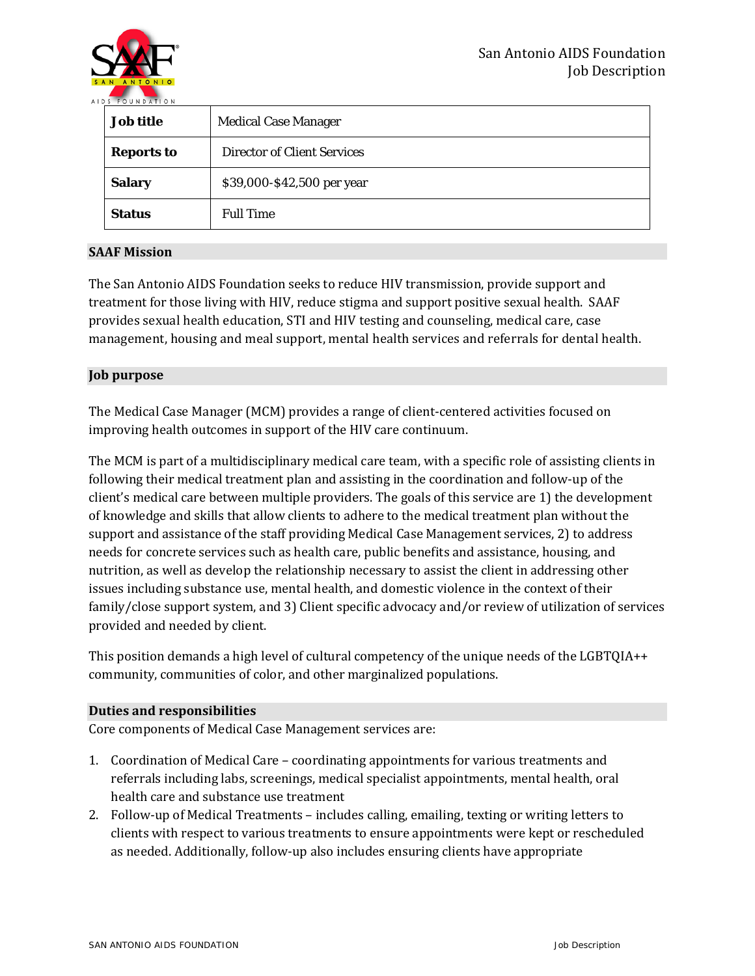

| <b>Job title</b>  | <b>Medical Case Manager</b>        |
|-------------------|------------------------------------|
| <b>Reports to</b> | <b>Director of Client Services</b> |
| <b>Salary</b>     | \$39,000-\$42,500 per year         |
| <b>Status</b>     | <b>Full Time</b>                   |

# **SAAF Mission**

The San Antonio AIDS Foundation seeks to reduce HIV transmission, provide support and treatment for those living with HIV, reduce stigma and support positive sexual health. SAAF provides sexual health education, STI and HIV testing and counseling, medical care, case management, housing and meal support, mental health services and referrals for dental health.

## **Job purpose**

The Medical Case Manager (MCM) provides a range of client-centered activities focused on improving health outcomes in support of the HIV care continuum.

The MCM is part of a multidisciplinary medical care team, with a specific role of assisting clients in following their medical treatment plan and assisting in the coordination and follow-up of the client's medical care between multiple providers. The goals of this service are 1) the development of knowledge and skills that allow clients to adhere to the medical treatment plan without the support and assistance of the staff providing Medical Case Management services, 2) to address needs for concrete services such as health care, public benefits and assistance, housing, and nutrition, as well as develop the relationship necessary to assist the client in addressing other issues including substance use, mental health, and domestic violence in the context of their family/close support system, and 3) Client specific advocacy and/or review of utilization of services provided and needed by client.

This position demands a high level of cultural competency of the unique needs of the LGBTQIA++ community, communities of color, and other marginalized populations.

## **Duties and responsibilities**

Core components of Medical Case Management services are:

- 1. Coordination of Medical Care coordinating appointments for various treatments and referrals including labs, screenings, medical specialist appointments, mental health, oral health care and substance use treatment
- 2. Follow-up of Medical Treatments includes calling, emailing, texting or writing letters to clients with respect to various treatments to ensure appointments were kept or rescheduled as needed. Additionally, follow-up also includes ensuring clients have appropriate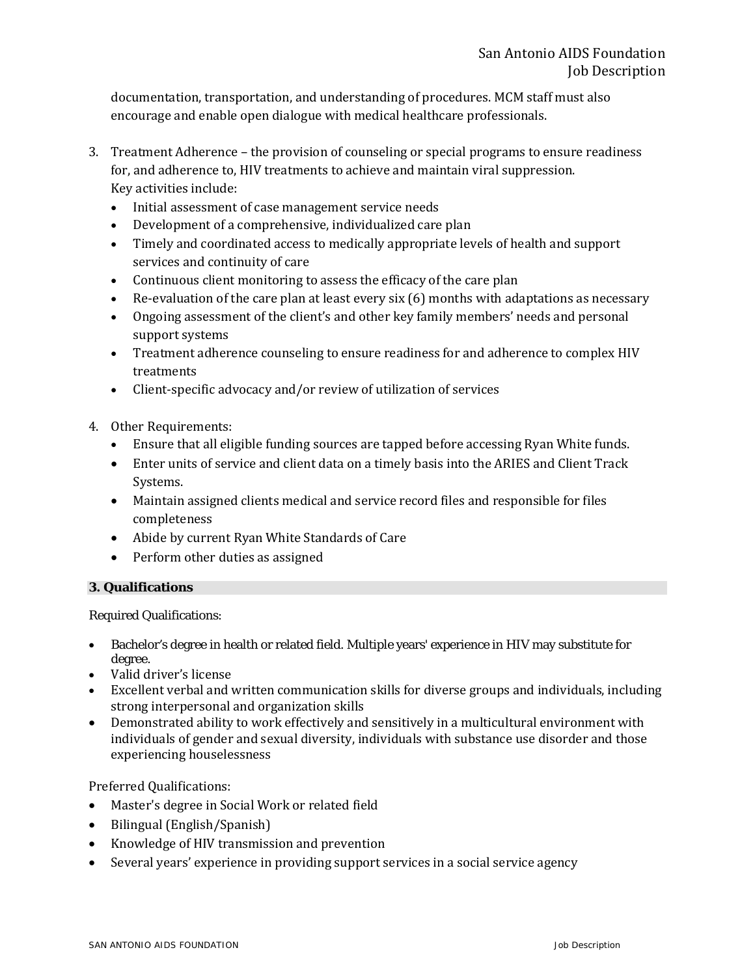documentation, transportation, and understanding of procedures. MCM staff must also encourage and enable open dialogue with medical healthcare professionals.

- 3. Treatment Adherence the provision of counseling or special programs to ensure readiness for, and adherence to, HIV treatments to achieve and maintain viral suppression. Key activities include:
	- Initial assessment of case management service needs
	- Development of a comprehensive, individualized care plan
	- Timely and coordinated access to medically appropriate levels of health and support services and continuity of care
	- Continuous client monitoring to assess the efficacy of the care plan
	- Re-evaluation of the care plan at least every six (6) months with adaptations as necessary
	- Ongoing assessment of the client's and other key family members' needs and personal support systems
	- Treatment adherence counseling to ensure readiness for and adherence to complex HIV treatments
	- Client-specific advocacy and/or review of utilization of services
- 4. Other Requirements:
	- Ensure that all eligible funding sources are tapped before accessing Ryan White funds.
	- Enter units of service and client data on a timely basis into the ARIES and Client Track Systems.
	- Maintain assigned clients medical and service record files and responsible for files completeness
	- Abide by current Ryan White Standards of Care
	- Perform other duties as assigned

## **3. Qualifications**

Required Qualifications:

- Bachelor's degree in health or related field. Multiple years' experience in HIV may substitute for degree.
- Valid driver's license
- Excellent verbal and written communication skills for diverse groups and individuals, including strong interpersonal and organization skills
- Demonstrated ability to work effectively and sensitively in a multicultural environment with individuals of gender and sexual diversity, individuals with substance use disorder and those experiencing houselessness

Preferred Qualifications:

- Master's degree in Social Work or related field
- Bilingual (English/Spanish)
- Knowledge of HIV transmission and prevention
- Several years' experience in providing support services in a social service agency